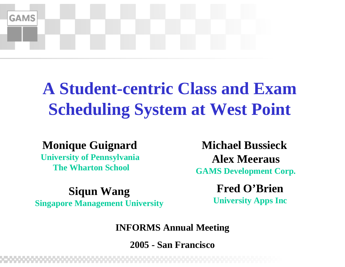

#### **A Student-centric Class and Exam Scheduling System at West Point**

#### **Monique Guignard**

**University of Pennsylvania The Wharton School**

**Michael BussieckAlex MeerausGAMS Development Corp.**

**Fred O'BrienIFREQ Siqun Wang**<br>
Singapore Management University<br>
University Apps Inc

#### **INFORMS Annual Meeting**

**2005 - San Francisco**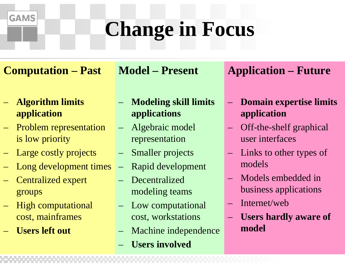#### **Change in Focus**

**Computation – Past**

**Model – Present**

 **Algorithm limits application**

**GAMS** 

- Problem representation is low priority
- Large costly projects
- Long development times
- Centralized expert groups
- High computational cost, mainframes
- **Users left out**
- **Modeling skill limits applications**
- Algebraic model representation
- Smaller projects
- –Rapid development
- Decentralized modeling teams
- Low computational cost, workstations
- Machine independence
	- **Users involved**

#### **Application – Future**

- – **Domain expertise limits application**
- – Off-the-shelf graphical user interfaces
- $\overline{\phantom{0}}$  Links to other types of models
- Models embedded in business applications
- Internet/web
- **Users hardly aware of model**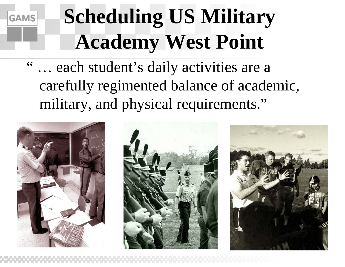# **GAMS**

#### **Scheduling US Military Academy West Point**

" … each student's daily activities are a carefully regimented balance of academic, military, and physical requirements."





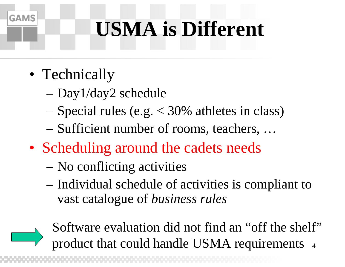#### **USMA is Different**

• Technically

- Day1/day2 schedule
- Special rules (e.g. < 30% athletes in class)
- Sufficient number of rooms, teachers, …
- Scheduling around the cadets needs
	- No conflicting activities
	- Individual schedule of activities is compliant to vast catalogue of *business rules*

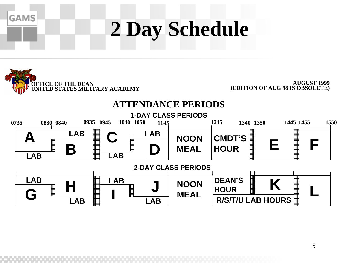## **2 Day Schedule**



**GAMS** 

**AUGUST 1999(EDITION OF AUG 98 IS OBSOLETE)**

#### **ATTENDANCE PERIODS**

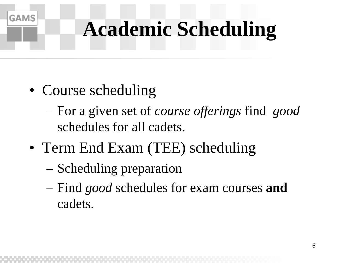#### **Academic Scheduling**

• Course scheduling

- For a given set of *course offerings* find *good* schedules for all cadets.
- Term End Exam (TEE) scheduling
	- Scheduling preparation
	- Find *good* schedules for exam courses **and** cadets.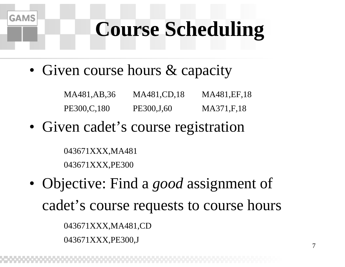#### **Course Scheduling**

• Given course hours & capacity

MA481,AB,36 MA481,CD,18 MA481,EF,18 PE300,C,180 PE300,J,60 MA371,F,18

• Given cadet's course registration

043671XXX,MA481 043671XXX,PE300

**GAMS** 

• Objective: Find a *good* assignment of cadet's course requests to course hours 043671XXX,MA481,CD 043671XXX,PE300,J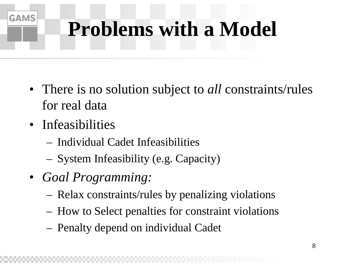### **Problems with a Model**

- There is no solution subject to *all* constraints/rules for real data
- Infeasibilities

- Individual Cadet Infeasibilities
- System Infeasibility (e.g. Capacity)
- *Goal Programming:*
	- Relax constraints/rules by penalizing violations
	- How to Select penalties for constraint violations
	- Penalty depend on individual Cadet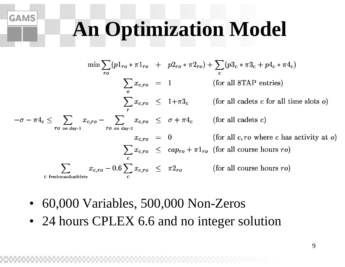#### **An Optimization Model**

$$
\min \sum_{ro} (p1_{ro} * \pi 1_{ro} + p2_{ro} * \pi 2_{ro}) + \sum_{c} (p3_{c} * \pi 3_{c} + p4_{c} * \pi 4_{c})
$$
\n
$$
\sum_{o} x_{c,ro} = 1 \qquad \text{(for all 8TAP entries)}
$$
\n
$$
\sum_{o} x_{c,ro} \leq 1 + \pi 3_{c} \qquad \text{(for all 8TAP entries)}
$$
\n
$$
-\sigma - \pi 4_{c} \leq \sum_{ro \text{ on day-1}} x_{c,ro} - \sum_{ro \text{ on day-2}} x_{c,ro} \leq \sigma + \pi 4_{c} \qquad \text{(for all cades c)}
$$
\n
$$
x_{c,ro} = 0 \qquad \text{(for all } c, ro \text{ where } c \text{ has activity at } o)
$$
\n
$$
\sum_{c} x_{c,ro} \leq cap_{ro} + \pi 1_{ro} \qquad \text{(for all course hours } ro)
$$
\n
$$
\sum_{c \text{ freshman} \text{axablete}} x_{c,ro} - 0.6 \sum_{c} x_{c,ro} \leq \pi 2_{ro} \qquad \text{(for all course hours } ro)
$$

•60,000 Variables, 500,000 Non-Zeros

**GAMS** 

• 24 hours CPLEX 6.6 and no integer solution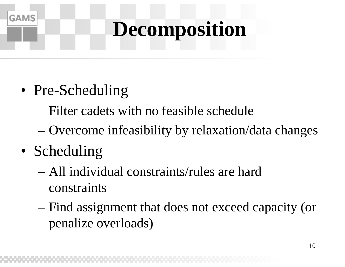### **Decomposition**

- Pre-Scheduling
	- Filter cadets with no feasible schedule
	- –Overcome infeasibility by relaxation/data changes
- Scheduling

- All individual constraints/rules are hard constraints
- – Find assignment that does not exceed capacity (or penalize overloads)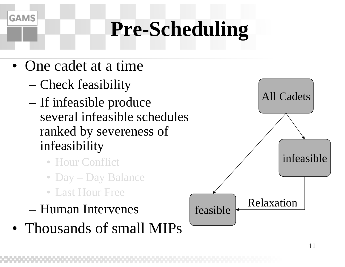#### **Pre-Scheduling**

• One cadet at a time

- Check feasibility
- If infeasible produce several infeasible schedules ranked by severeness of infeasibility
	- Hour Conflict
	- Day Day Balance
	- Last Hour Free
- Human Intervenes
- Thousands of small MIPs

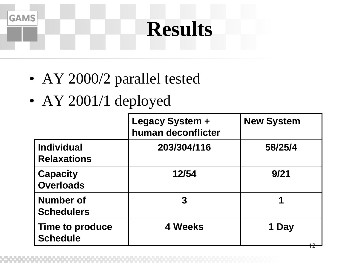#### **Results**

- AY 2000/2 parallel tested
- AY 2001/1 deployed

|                                           | <b>Legacy System +</b><br>human deconflicter | <b>New System</b> |  |
|-------------------------------------------|----------------------------------------------|-------------------|--|
| <b>Individual</b><br><b>Relaxations</b>   | 203/304/116                                  | 58/25/4           |  |
| <b>Capacity</b><br><b>Overloads</b>       | 12/54                                        | 9/21              |  |
| <b>Number of</b><br><b>Schedulers</b>     | 3                                            | 1                 |  |
| <b>Time to produce</b><br><b>Schedule</b> | 4 Weeks                                      | <b>Day</b>        |  |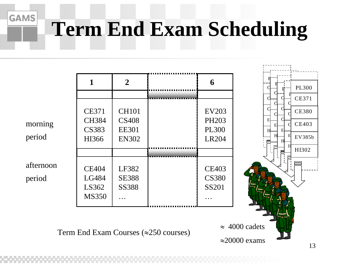### **Term End Exam Scheduling**

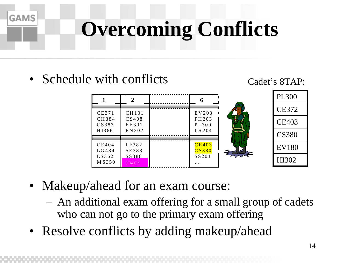### **Overcoming Conflicts**

• Schedule with conflicts





- Makeup/ahead for an exam course:
	- An additional exam offering for a small group of cadets who can not go to the primary exam offering
- Resolve conflicts by adding makeup/ahead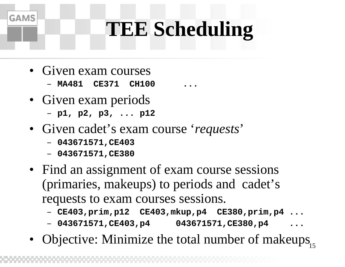#### **TEE Scheduling**

• Given exam courses

- **MA481 CE371 CH100 ...**
- Given exam periods
	- **p1, p2, p3, ... p12**
- Given cadet's exam course '*requests*'
	- **043671571,CE403**
	- **043671571,CE380**
- Find an assignment of exam course sessions (primaries, makeups) to periods and cadet's requests to exam courses sessions.
	- **CE403,prim,p12 CE403,mkup,p4 CE380,prim,p4 ...**
	- **043671571,CE403,p4 043671571,CE380,p4 ...**
- 15• Objective: Minimize the total number of makeups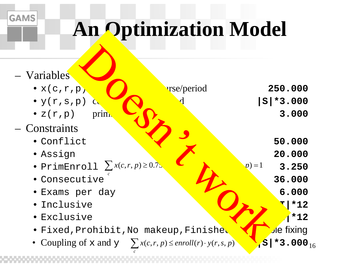#### **An Optimization Model**

| - Variables                                                                              |                               |
|------------------------------------------------------------------------------------------|-------------------------------|
| $\bullet x(c,r,p)$                                                                       | <b>urse/period</b><br>250.000 |
| $\bullet$ y(r,s,p)<br>$C_{\mathcal{N}}$                                                  | $ S *3.000$                   |
| $\bullet$ z(r,p)<br>prim                                                                 | 3.000                         |
| Constraints                                                                              |                               |
| • Conflict                                                                               | 50.000                        |
| · Assign                                                                                 | 20.000                        |
| • PrimEnroll $\sum x(c,r,p) \geq 0.75$                                                   | $\n  p$ ) = 1<br>3.250        |
| · Consecutive                                                                            | 36.000                        |
| · Exams per day                                                                          | 6.000                         |
| • Inclusive                                                                              | $*12$                         |
| • Exclusive                                                                              | $*12$                         |
| · Fixed, Prohibit, No makeup, Finished                                                   | e fixingار                    |
| • Coupling of x and $\mathbf{y} = \sum x(c, r, p) \le \text{enroll}(r) \cdot y(r, s, p)$ | $S$ +3.000 <sub>16</sub>      |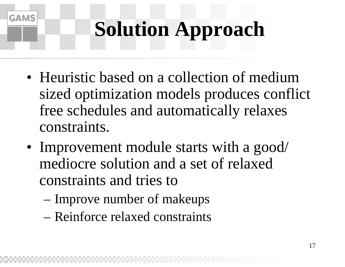### **Solution Approach**

- Heuristic based on a collection of medium sized optimization models produces conflict free schedules and automatically relaxes constraints.
- Improvement module starts with a good/ mediocre solution and a set of relaxed constraints and tries to
	- Improve number of makeups

**GAMS** 

– Reinforce relaxed constraints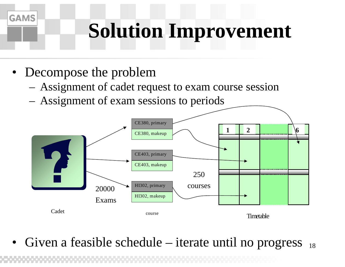### **Solution Improvement**

• Decompose the problem

**GAMS** 

- Assignment of cadet request to exam course session
- Assignment of exam sessions to periods



18• Given a feasible schedule – iterate until no progress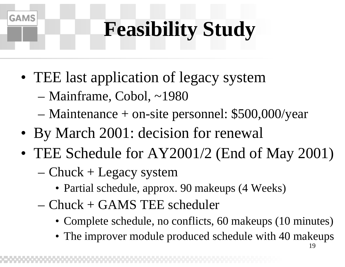### **Feasibility Study**

- TEE last application of legacy system
	- –Mainframe, Cobol, ~1980

- –Maintenance + on-site personnel: \$500,000/year
- By March 2001: decision for renewal
- TEE Schedule for AY2001/2 (End of May 2001) – Chuck + Legacy system
	- Partial schedule, approx. 90 makeups (4 Weeks)
	- Chuck + GAMS TEE scheduler
		- Complete schedule, no conflicts, 60 makeups (10 minutes)
		- The improver module produced schedule with 40 makeups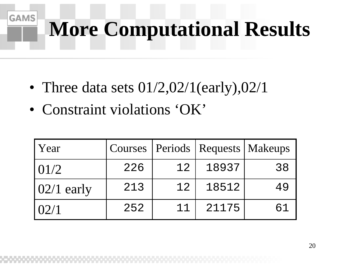### **More Computational Results**

- Three data sets  $01/2,02/1$ (early), $02/1$
- Constraint violations 'OK'

| <b>Year</b>        |     |    | Courses   Periods   Requests   Makeups |    |
|--------------------|-----|----|----------------------------------------|----|
| 101/2              | 226 | 12 | 18937                                  | 38 |
| $\vert 02/1$ early | 213 | 12 | 18512                                  | 49 |
| 102/1              | 252 | 11 | 21175                                  | 61 |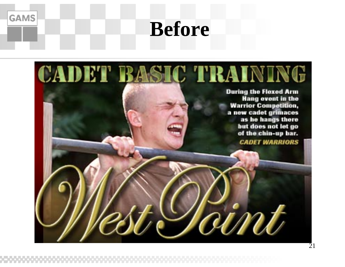#### **Before**

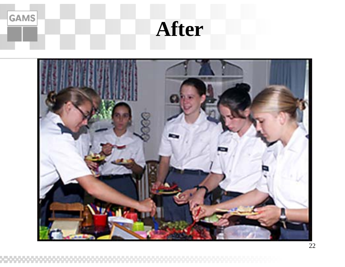